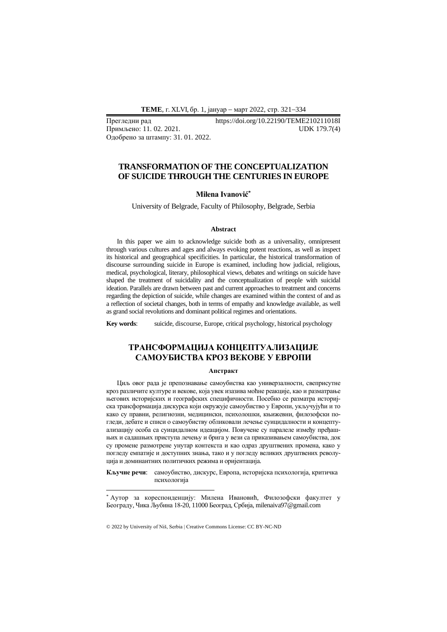**ТEME**, г. XLVI, бр. 1, јануар − март 2022, стр. 321−334

Одобрено за штампу: 31. 01. 2022.

Прегледни рад https://doi.org/10.22190/TEME210211018I Примљено: 11. 02. 2021. UDK 179.7(4)

# **TRANSFORMATION OF THE CONCEPTUALIZATION OF SUICIDE THROUGH THE CENTURIES IN EUROPE**

## **Milena Ivanović\***

University of Belgrade, Faculty of Philosophy, Belgrade, Serbia

#### **Abstract**

In this paper we aim to acknowledge suicide both as a universality, omnipresent through various cultures and ages and always evoking potent reactions, as well as inspect its historical and geographical specificities. In particular, the historical transformation of discourse surrounding suicide in Europe is examined, including how judicial, religious, medical, psychological, literary, philosophical views, debates and writings on suicide have shaped the treatment of suicidality and the conceptualization of people with suicidal ideation. Parallels are drawn between past and current approaches to treatment and concerns regarding the depiction of suicide, while changes are examined within the context of and as a reflection of societal changes, both in terms of empathy and knowledge available, as well as grand social revolutions and dominant political regimes and orientations.

**Key words**: suicide, discourse, Europe, critical psychology, historical psychology

## **ТРАНСФОРМАЦИЈА КОНЦЕПТУАЛИЗАЦИЈЕ САМОУБИСТВА КРОЗ ВЕКОВЕ У ЕВРОПИ**

#### **Апстракт**

Циљ овог рада је препознавање самоубиства као универзалности, свеприсутне кроз различите културе и векове, која увек изазива моћне реакције, као и разматрање његових историјских и географских специфичности. Посебно се разматра историјска трансформација дискурса који окружује самоубиство у Европи, укључујући и то како су правни, религиозни, медицински, психолошки, књижевни, филозофски погледи, дебате и списи о самоубиству обликовали лечење суицидалности и концептуализацију особа са суицидалном идеацијом. Повучене су паралеле између пређашњих и садашњих приступа лечењу и брига у вези са приказивањем самоубиства, док су промене размотрене унутар контекста и као одраз друштвених промена, како у погледу емпатије и доступних знања, тако и у погледу великих друштвених револуција и доминантних политичких режима и оријентација.

**Кључне речи**: самоубиство, дискурс, Европа, историјска психологија, критичка психологија

<sup>\*</sup> Аутор за кореспонденцију: Милена Ивановић, Филозофски факултет у Београду, Чика Љубина 18-20, 11000 Београд, Србија, milenaiva97@gmail.com

<sup>© 2022</sup> by University of Niš, Serbia | Creative Commons License: CC BY-NC-ND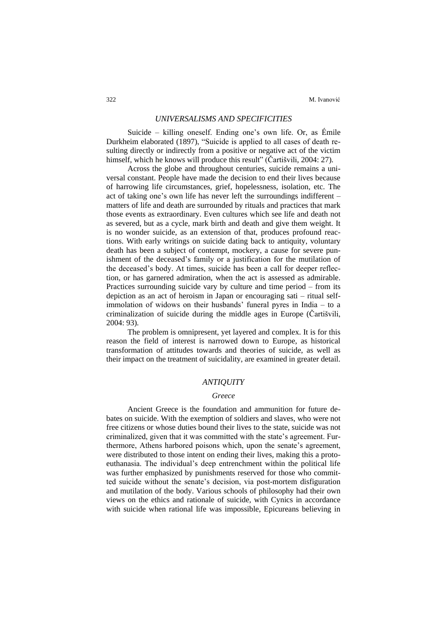### *UNIVERSALISMS AND SPECIFICITIES*

Suicide – killing oneself. Ending one's own life. Or, as Émile Durkheim elaborated (1897), "Suicide is applied to all cases of death resulting directly or indirectly from a positive or negative act of the victim himself, which he knows will produce this result" (Čartišvili, 2004: 27).

Across the globe and throughout centuries, suicide remains a universal constant. People have made the decision to end their lives because of harrowing life circumstances, grief, hopelessness, isolation, etc. The act of taking one's own life has never left the surroundings indifferent – matters of life and death are surrounded by rituals and practices that mark those events as extraordinary. Even cultures which see life and death not as severed, but as a cycle, mark birth and death and give them weight. It is no wonder suicide, as an extension of that, produces profound reactions. With early writings on suicide dating back to antiquity, voluntary death has been a subject of contempt, mockery, a cause for severe punishment of the deceased's family or a justification for the mutilation of the deceased's body. At times, suicide has been a call for deeper reflection, or has garnered admiration, when the act is assessed as admirable. Practices surrounding suicide vary by culture and time period – from its depiction as an act of heroism in Japan or encouraging sati – ritual selfimmolation of widows on their husbands' funeral pyres in India – to a criminalization of suicide during the middle ages in Europe (Čartišvili, 2004: 93).

The problem is omnipresent, yet layered and complex. It is for this reason the field of interest is narrowed down to Europe, as historical transformation of attitudes towards and theories of suicide, as well as their impact on the treatment of suicidality, are examined in greater detail.

## *ANTIQUITY*

#### *Greece*

Ancient Greece is the foundation and ammunition for future debates on suicide. With the exemption of soldiers and slaves, who were not free citizens or whose duties bound their lives to the state, suicide was not criminalized, given that it was committed with the state's agreement. Furthermore, Athens harbored poisons which, upon the senate's agreement, were distributed to those intent on ending their lives, making this a protoeuthanasia. The individual's deep entrenchment within the political life was further emphasized by punishments reserved for those who committed suicide without the senate's decision, via post-mortem disfiguration and mutilation of the body. Various schools of philosophy had their own views on the ethics and rationale of suicide, with Cynics in accordance with suicide when rational life was impossible, Epicureans believing in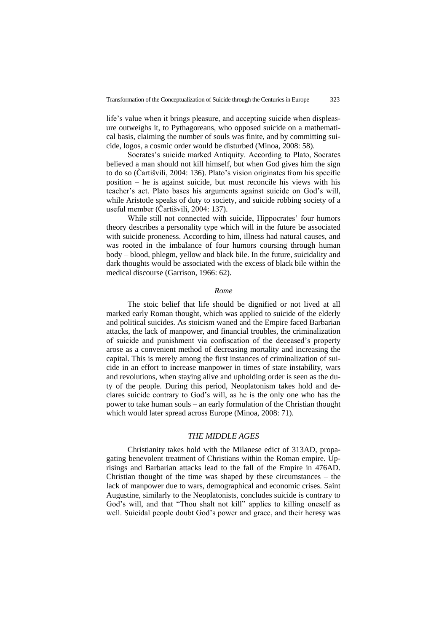life's value when it brings pleasure, and accepting suicide when displeasure outweighs it, to Pythagoreans, who opposed suicide on a mathematical basis, claiming the number of souls was finite, and by committing suicide, logos, a cosmic order would be disturbed (Minoa, 2008: 58).

Socrates's suicide marked Antiquity. According to Plato, Socrates believed a man should not kill himself, but when God gives him the sign to do so (Čartišvili, 2004: 136). Plato's vision originates from his specific position – he is against suicide, but must reconcile his views with his teacher's act. Plato bases his arguments against suicide on God's will, while Aristotle speaks of duty to society, and suicide robbing society of a useful member (Čartišvili, 2004: 137).

While still not connected with suicide, Hippocrates' four humors theory describes a personality type which will in the future be associated with suicide proneness. According to him, illness had natural causes, and was rooted in the imbalance of four humors coursing through human body – blood, phlegm, yellow and black bile. In the future, suicidality and dark thoughts would be associated with the excess of black bile within the medical discourse (Garrison, 1966: 62).

#### *Rome*

The stoic belief that life should be dignified or not lived at all marked early Roman thought, which was applied to suicide of the elderly and political suicides. As stoicism waned and the Empire faced Barbarian attacks, the lack of manpower, and financial troubles, the criminalization of suicide and punishment via confiscation of the deceased's property arose as a convenient method of decreasing mortality and increasing the capital. This is merely among the first instances of criminalization of suicide in an effort to increase manpower in times of state instability, wars and revolutions, when staying alive and upholding order is seen as the duty of the people. During this period, Neoplatonism takes hold and declares suicide contrary to God's will, as he is the only one who has the power to take human souls – an early formulation of the Christian thought which would later spread across Europe (Minoa, 2008: 71).

### *THE MIDDLE AGES*

Christianity takes hold with the Milanese edict of 313AD, propagating benevolent treatment of Christians within the Roman empire. Uprisings and Barbarian attacks lead to the fall of the Empire in 476AD. Christian thought of the time was shaped by these circumstances – the lack of manpower due to wars, demographical and economic crises. Saint Augustine, similarly to the Neoplatonists, concludes suicide is contrary to God's will, and that "Thou shalt not kill" applies to killing oneself as well. Suicidal people doubt God's power and grace, and their heresy was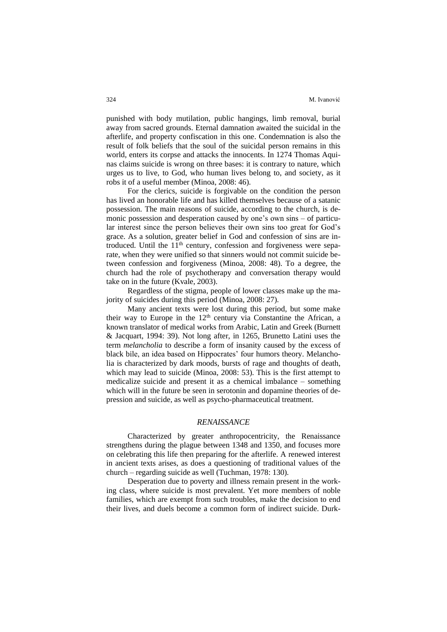punished with body mutilation, public hangings, limb removal, burial away from sacred grounds. Eternal damnation awaited the suicidal in the afterlife, and property confiscation in this one. Condemnation is also the result of folk beliefs that the soul of the suicidal person remains in this world, enters its corpse and attacks the innocents. In 1274 Thomas Aquinas claims suicide is wrong on three bases: it is contrary to nature, which urges us to live, to God, who human lives belong to, and society, as it robs it of a useful member (Minoa, 2008: 46).

For the clerics, suicide is forgivable on the condition the person has lived an honorable life and has killed themselves because of a satanic possession. The main reasons of suicide, according to the church, is demonic possession and desperation caused by one's own sins – of particular interest since the person believes their own sins too great for God's grace. As a solution, greater belief in God and confession of sins are introduced. Until the  $11<sup>th</sup>$  century, confession and forgiveness were separate, when they were unified so that sinners would not commit suicide between confession and forgiveness (Minoa, 2008: 48). To a degree, the church had the role of psychotherapy and conversation therapy would take on in the future (Kvale, 2003).

Regardless of the stigma, people of lower classes make up the majority of suicides during this period (Minoa, 2008: 27).

Many ancient texts were lost during this period, but some make their way to Europe in the  $12<sup>th</sup>$  century via Constantine the African, a known translator of medical works from Arabic, Latin and Greek (Burnett & Jacquart, 1994: 39). Not long after, in 1265, Brunetto Latini uses the term *melancholia* to describe a form of insanity caused by the excess of black bile, an idea based on Hippocrates' four humors theory. Melancholia is characterized by dark moods, bursts of rage and thoughts of death, which may lead to suicide (Minoa, 2008: 53). This is the first attempt to medicalize suicide and present it as a chemical imbalance – something which will in the future be seen in serotonin and dopamine theories of depression and suicide, as well as psycho-pharmaceutical treatment.

#### *RENAISSANCE*

Characterized by greater anthropocentricity, the Renaissance strengthens during the plague between 1348 and 1350, and focuses more on celebrating this life then preparing for the afterlife. A renewed interest in ancient texts arises, as does a questioning of traditional values of the church – regarding suicide as well (Tuchman, 1978: 130).

Desperation due to poverty and illness remain present in the working class, where suicide is most prevalent. Yet more members of noble families, which are exempt from such troubles, make the decision to end their lives, and duels become a common form of indirect suicide. Durk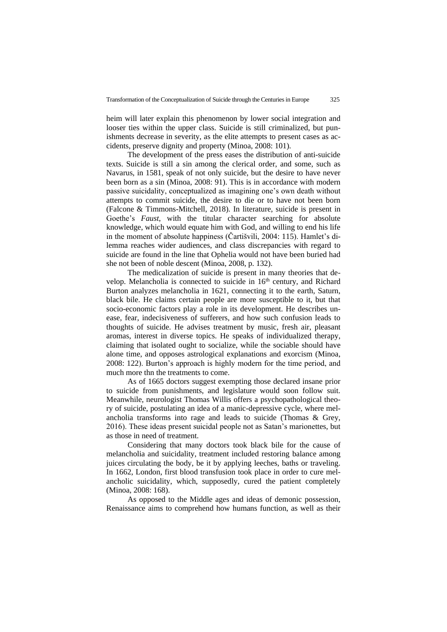heim will later explain this phenomenon by lower social integration and looser ties within the upper class. Suicide is still criminalized, but punishments decrease in severity, as the elite attempts to present cases as accidents, preserve dignity and property (Minoa, 2008: 101).

The development of the press eases the distribution of anti-suicide texts. Suicide is still a sin among the clerical order, and some, such as Navarus, in 1581, speak of not only suicide, but the desire to have never been born as a sin (Minoa, 2008: 91). This is in accordance with modern passive suicidality, conceptualized as imagining one's own death without attempts to commit suicide, the desire to die or to have not been born (Falcone & Timmons-Mitchell, 2018). In literature, suicide is present in Goethe's *Faust*, with the titular character searching for absolute knowledge, which would equate him with God, and willing to end his life in the moment of absolute happiness (Čartišvili, 2004: 115). Hamlet's dilemma reaches wider audiences, and class discrepancies with regard to suicide are found in the line that Ophelia would not have been buried had she not been of noble descent (Minoa, 2008, p. 132).

The medicalization of suicide is present in many theories that develop. Melancholia is connected to suicide in 16<sup>th</sup> century, and Richard Burton analyzes melancholia in 1621, connecting it to the earth, Saturn, black bile. He claims certain people are more susceptible to it, but that socio-economic factors play a role in its development. He describes unease, fear, indecisiveness of sufferers, and how such confusion leads to thoughts of suicide. He advises treatment by music, fresh air, pleasant aromas, interest in diverse topics. He speaks of individualized therapy, claiming that isolated ought to socialize, while the sociable should have alone time, and opposes astrological explanations and exorcism (Minoa, 2008: 122). Burton's approach is highly modern for the time period, and much more thn the treatments to come.

As of 1665 doctors suggest exempting those declared insane prior to suicide from punishments, and legislature would soon follow suit. Meanwhile, neurologist Thomas Willis offers a psychopathological theory of suicide, postulating an idea of a manic-depressive cycle, where melancholia transforms into rage and leads to suicide (Thomas & Grey, 2016). These ideas present suicidal people not as Satan's marionettes, but as those in need of treatment.

Considering that many doctors took black bile for the cause of melancholia and suicidality, treatment included restoring balance among juices circulating the body, be it by applying leeches, baths or traveling. In 1662, London, first blood transfusion took place in order to cure melancholic suicidality, which, supposedly, cured the patient completely (Minoa, 2008: 168).

As opposed to the Middle ages and ideas of demonic possession, Renaissance aims to comprehend how humans function, as well as their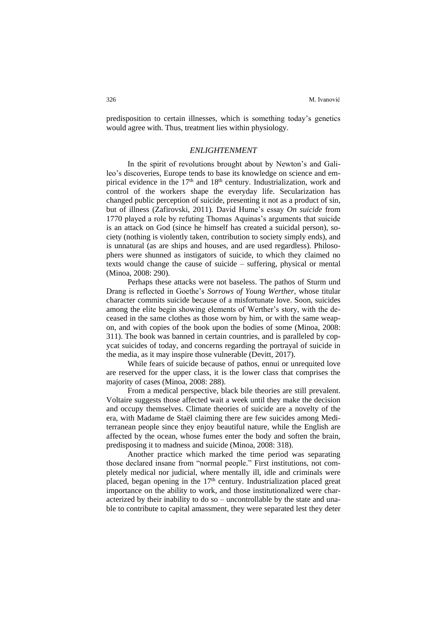predisposition to certain illnesses, which is something today's genetics would agree with. Thus, treatment lies within physiology.

#### *ENLIGHTENMENT*

In the spirit of revolutions brought about by Newton's and Galileo's discoveries, Europe tends to base its knowledge on science and empirical evidence in the 17<sup>th</sup> and 18<sup>th</sup> century. Industrialization, work and control of the workers shape the everyday life. Secularization has changed public perception of suicide, presenting it not as a product of sin, but of illness (Zafirovski, 2011). David Hume's essay *On suicide* from 1770 played a role by refuting Thomas Aquinas's arguments that suicide is an attack on God (since he himself has created a suicidal person), society (nothing is violently taken, contribution to society simply ends), and is unnatural (as are ships and houses, and are used regardless). Philosophers were shunned as instigators of suicide, to which they claimed no texts would change the cause of suicide – suffering, physical or mental (Minoa, 2008: 290).

Perhaps these attacks were not baseless. The pathos of Sturm und Drang is reflected in Goethe's *Sorrows of Young Werther*, whose titular character commits suicide because of a misfortunate love. Soon, suicides among the elite begin showing elements of Werther's story, with the deceased in the same clothes as those worn by him, or with the same weapon, and with copies of the book upon the bodies of some (Minoa, 2008: 311). The book was banned in certain countries, and is paralleled by copycat suicides of today, and concerns regarding the portrayal of suicide in the media, as it may inspire those vulnerable (Devitt, 2017).

While fears of suicide because of pathos, ennui or unrequited love are reserved for the upper class, it is the lower class that comprises the majority of cases (Minoa, 2008: 288).

From a medical perspective, black bile theories are still prevalent. Voltaire suggests those affected wait a week until they make the decision and occupy themselves. Climate theories of suicide are a novelty of the era, with Madame de Staël claiming there are few suicides among Mediterranean people since they enjoy beautiful nature, while the English are affected by the ocean, whose fumes enter the body and soften the brain, predisposing it to madness and suicide (Minoa, 2008: 318).

Another practice which marked the time period was separating those declared insane from "normal people." First institutions, not completely medical nor judicial, where mentally ill, idle and criminals were placed, began opening in the  $17<sup>th</sup>$  century. Industrialization placed great importance on the ability to work, and those institutionalized were characterized by their inability to do so – uncontrollable by the state and unable to contribute to capital amassment, they were separated lest they deter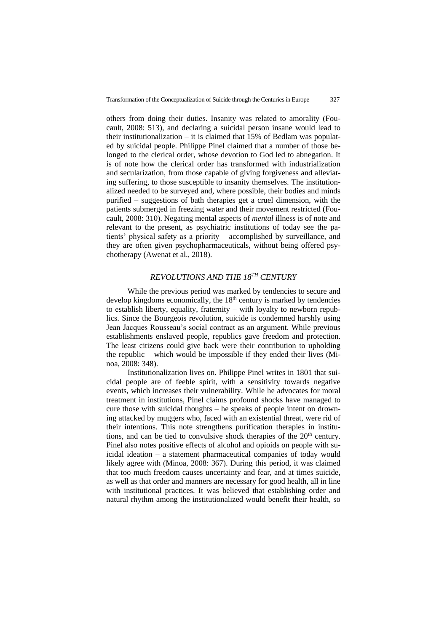others from doing their duties. Insanity was related to amorality (Foucault, 2008: 513), and declaring a suicidal person insane would lead to their institutionalization – it is claimed that  $15\%$  of Bedlam was populated by suicidal people. Philippe Pinel claimed that a number of those belonged to the clerical order, whose devotion to God led to abnegation. It is of note how the clerical order has transformed with industrialization and secularization, from those capable of giving forgiveness and alleviating suffering, to those susceptible to insanity themselves. The institutionalized needed to be surveyed and, where possible, their bodies and minds purified – suggestions of bath therapies get a cruel dimension, with the patients submerged in freezing water and their movement restricted (Foucault, 2008: 310). Negating mental aspects of *mental* illness is of note and relevant to the present, as psychiatric institutions of today see the patients' physical safety as a priority – accomplished by surveillance, and they are often given psychopharmaceuticals, without being offered psychotherapy (Awenat et al., 2018).

# *REVOLUTIONS AND THE 18TH CENTURY*

While the previous period was marked by tendencies to secure and develop kingdoms economically, the  $18<sup>th</sup>$  century is marked by tendencies to establish liberty, equality, fraternity – with loyalty to newborn republics. Since the Bourgeois revolution, suicide is condemned harshly using Jean Jacques Rousseau's social contract as an argument. While previous establishments enslaved people, republics gave freedom and protection. The least citizens could give back were their contribution to upholding the republic – which would be impossible if they ended their lives (Minoa, 2008: 348).

Institutionalization lives on. Philippe Pinel writes in 1801 that suicidal people are of feeble spirit, with a sensitivity towards negative events, which increases their vulnerability. While he advocates for moral treatment in institutions, Pinel claims profound shocks have managed to cure those with suicidal thoughts – he speaks of people intent on drowning attacked by muggers who, faced with an existential threat, were rid of their intentions. This note strengthens purification therapies in institutions, and can be tied to convulsive shock therapies of the 20<sup>th</sup> century. Pinel also notes positive effects of alcohol and opioids on people with suicidal ideation – a statement pharmaceutical companies of today would likely agree with (Minoa, 2008: 367). During this period, it was claimed that too much freedom causes uncertainty and fear, and at times suicide, as well as that order and manners are necessary for good health, all in line with institutional practices. It was believed that establishing order and natural rhythm among the institutionalized would benefit their health, so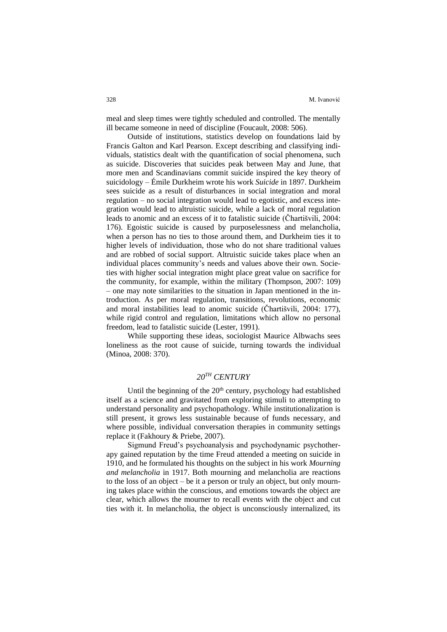meal and sleep times were tightly scheduled and controlled. The mentally ill became someone in need of discipline (Foucault, 2008: 506).

Outside of institutions, statistics develop on foundations laid by Francis Galton and Karl Pearson. Except describing and classifying individuals, statistics dealt with the quantification of social phenomena, such as suicide. Discoveries that suicides peak between May and June, that more men and Scandinavians commit suicide inspired the key theory of suicidology – Émile Durkheim wrote his work *Suicide* in 1897. Durkheim sees suicide as a result of disturbances in social integration and moral regulation – no social integration would lead to egotistic, and excess integration would lead to altruistic suicide, while a lack of moral regulation leads to anomic and an excess of it to fatalistic suicide (Čhartišvili, 2004: 176). Egoistic suicide is caused by purposelessness and melancholia, when a person has no ties to those around them, and Durkheim ties it to higher levels of individuation, those who do not share traditional values and are robbed of social support. Altruistic suicide takes place when an individual places community's needs and values above their own. Societies with higher social integration might place great value on sacrifice for the community, for example, within the military (Thompson, 2007: 109) – one may note similarities to the situation in Japan mentioned in the introduction. As per moral regulation, transitions, revolutions, economic and moral instabilities lead to anomic suicide (Čhartišvili, 2004: 177), while rigid control and regulation, limitations which allow no personal freedom, lead to fatalistic suicide (Lester, 1991).

While supporting these ideas, sociologist Maurice Albwachs sees loneliness as the root cause of suicide, turning towards the individual (Minoa, 2008: 370).

# *20TH CENTURY*

Until the beginning of the  $20<sup>th</sup>$  century, psychology had established itself as a science and gravitated from exploring stimuli to attempting to understand personality and psychopathology. While institutionalization is still present, it grows less sustainable because of funds necessary, and where possible, individual conversation therapies in community settings replace it (Fakhoury & Priebe, 2007).

Sigmund Freud's psychoanalysis and psychodynamic psychotherapy gained reputation by the time Freud attended a meeting on suicide in 1910, and he formulated his thoughts on the subject in his work *Mourning and melancholia* in 1917. Both mourning and melancholia are reactions to the loss of an object – be it a person or truly an object, but only mourning takes place within the conscious, and emotions towards the object are clear, which allows the mourner to recall events with the object and cut ties with it. In melancholia, the object is unconsciously internalized, its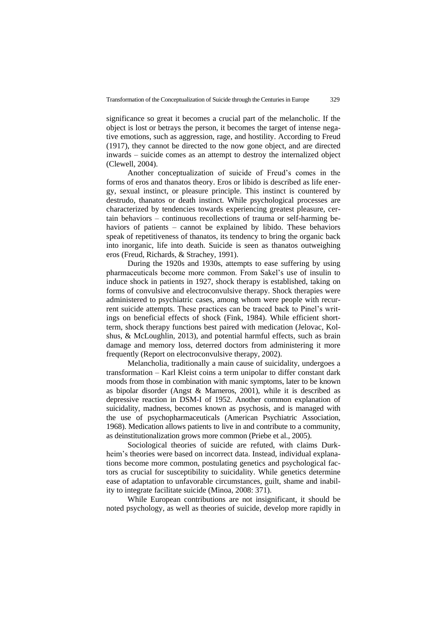significance so great it becomes a crucial part of the melancholic. If the object is lost or betrays the person, it becomes the target of intense negative emotions, such as aggression, rage, and hostility. According to Freud (1917), they cannot be directed to the now gone object, and are directed inwards – suicide comes as an attempt to destroy the internalized object (Clewell, 2004).

Another conceptualization of suicide of Freud's comes in the forms of eros and thanatos theory. Eros or libido is described as life energy, sexual instinct, or pleasure principle. This instinct is countered by destrudo, thanatos or death instinct. While psychological processes are characterized by tendencies towards experiencing greatest pleasure, certain behaviors – continuous recollections of trauma or self-harming behaviors of patients – cannot be explained by libido. These behaviors speak of repetitiveness of thanatos, its tendency to bring the organic back into inorganic, life into death. Suicide is seen as thanatos outweighing eros (Freud, Richards, & Strachey, 1991).

During the 1920s and 1930s, attempts to ease suffering by using pharmaceuticals become more common. From Sakel's use of insulin to induce shock in patients in 1927, shock therapy is established, taking on forms of convulsive and electroconvulsive therapy. Shock therapies were administered to psychiatric cases, among whom were people with recurrent suicide attempts. These practices can be traced back to Pinel's writings on beneficial effects of shock (Fink, 1984). While efficient shortterm, shock therapy functions best paired with medication (Jelovac, Kolshus, & McLoughlin, 2013), and potential harmful effects, such as brain damage and memory loss, deterred doctors from administering it more frequently (Report on electroconvulsive therapy, 2002).

Melancholia, traditionally a main cause of suicidality, undergoes a transformation – Karl Kleist coins a term unipolar to differ constant dark moods from those in combination with manic symptoms, later to be known as bipolar disorder (Angst & Marneros, 2001), while it is described as depressive reaction in DSM-I of 1952. Another common explanation of suicidality, madness, becomes known as psychosis, and is managed with the use of psychopharmaceuticals (American Psychiatric Association, 1968). Medication allows patients to live in and contribute to a community, as deinstitutionalization grows more common (Priebe et al., 2005).

Sociological theories of suicide are refuted, with claims Durkheim's theories were based on incorrect data. Instead, individual explanations become more common, postulating genetics and psychological factors as crucial for susceptibility to suicidality. While genetics determine ease of adaptation to unfavorable circumstances, guilt, shame and inability to integrate facilitate suicide (Minoa, 2008: 371).

While European contributions are not insignificant, it should be noted psychology, as well as theories of suicide, develop more rapidly in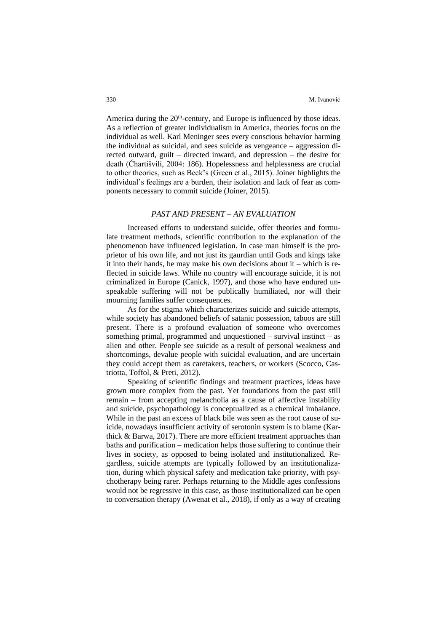America during the  $20<sup>th</sup>$ -century, and Europe is influenced by those ideas. As a reflection of greater individualism in America, theories focus on the individual as well. Karl Meninger sees every conscious behavior harming the individual as suicidal, and sees suicide as vengeance – aggression directed outward, guilt – directed inward, and depression – the desire for death (Čhartišvili, 2004: 186). Hopelessness and helplessness are crucial to other theories, such as Beck's (Green et al., 2015). Joiner highlights the individual's feelings are a burden, their isolation and lack of fear as components necessary to commit suicide (Joiner, 2015).

#### *PAST AND PRESENT – AN EVALUATION*

Increased efforts to understand suicide, offer theories and formulate treatment methods, scientific contribution to the explanation of the phenomenon have influenced legislation. In case man himself is the proprietor of his own life, and not just its gaurdian until Gods and kings take it into their hands, he may make his own decisions about it – which is reflected in suicide laws. While no country will encourage suicide, it is not criminalized in Europe (Canick, 1997), and those who have endured unspeakable suffering will not be publically humiliated, nor will their mourning families suffer consequences.

As for the stigma which characterizes suicide and suicide attempts, while society has abandoned beliefs of satanic possession, taboos are still present. There is a profound evaluation of someone who overcomes something primal, programmed and unquestioned – survival instinct – as alien and other. People see suicide as a result of personal weakness and shortcomings, devalue people with suicidal evaluation, and are uncertain they could accept them as caretakers, teachers, or workers (Scocco, Castriotta, Toffol, & Preti, 2012).

Speaking of scientific findings and treatment practices, ideas have grown more complex from the past. Yet foundations from the past still remain – from accepting melancholia as a cause of affective instability and suicide, psychopathology is conceptualized as a chemical imbalance. While in the past an excess of black bile was seen as the root cause of suicide, nowadays insufficient activity of serotonin system is to blame (Karthick & Barwa, 2017). There are more efficient treatment approaches than baths and purification – medication helps those suffering to continue their lives in society, as opposed to being isolated and institutionalized. Regardless, suicide attempts are typically followed by an institutionalization, during which physical safety and medication take priority, with psychotherapy being rarer. Perhaps returning to the Middle ages confessions would not be regressive in this case, as those institutionalized can be open to conversation therapy (Awenat et al., 2018), if only as a way of creating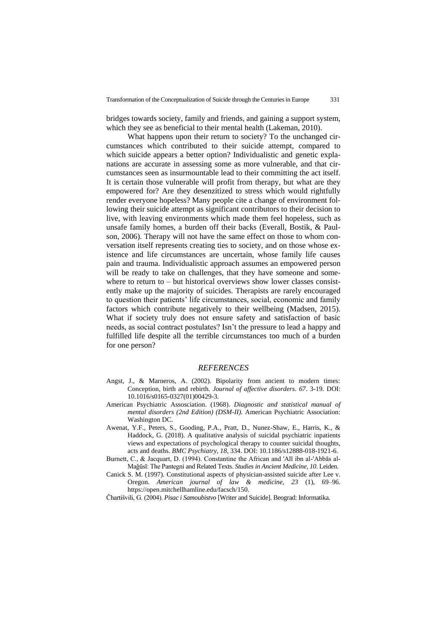bridges towards society, family and friends, and gaining a support system, which they see as beneficial to their mental health (Lakeman, 2010).

What happens upon their return to society? To the unchanged circumstances which contributed to their suicide attempt, compared to which suicide appears a better option? Individualistic and genetic explanations are accurate in assessing some as more vulnerable, and that circumstances seen as insurmountable lead to their committing the act itself. It is certain those vulnerable will profit from therapy, but what are they empowered for? Are they desenzitized to stress which would rightfully render everyone hopeless? Many people cite a change of environment following their suicide attempt as significant contributors to their decision to live, with leaving environments which made them feel hopeless, such as unsafe family homes, a burden off their backs (Everall, Bostik, & Paulson, 2006). Therapy will not have the same effect on those to whom conversation itself represents creating ties to society, and on those whose existence and life circumstances are uncertain, whose family life causes pain and trauma. Individualistic approach assumes an empowered person will be ready to take on challenges, that they have someone and somewhere to return to – but historical overviews show lower classes consistently make up the majority of suicides. Therapists are rarely encouraged to question their patients' life circumstances, social, economic and family factors which contribute negatively to their wellbeing (Madsen, 2015). What if society truly does not ensure safety and satisfaction of basic needs, as social contract postulates? Isn't the pressure to lead a happy and fulfilled life despite all the terrible circumstances too much of a burden for one person?

#### *REFERENCES*

- Angst, J., & Marneros, A. (2002). Bipolarity from ancient to modern times: Conception, birth and rebirth. *Journal of affective disorders. 67*. 3-19. DOI: 10.1016/s0165-0327(01)00429-3.
- American Psychiatric Assosciation. (1968). *Diagnostic and statistical manual of mental disorders (2nd Edition) (DSM-II).* American Psychiatric Association: Washington DC.
- Awenat, Y.F., Peters, S., Gooding, P.A., Pratt, D., Nunez-Shaw, E., Harris, K., & Haddock, G. (2018). A qualitative analysis of suicidal psychiatric inpatients views and expectations of psychological therapy to counter suicidal thoughts, acts and deaths. *BMC Psychiatry, 18*, 334. DOI: 10.1186/s12888-018-1921-6.
- Burnett, C., & Jacquart, D. (1994). Constantine the African and 'Alī ibn al-'Abbās al-Maǧūsī: The Pantegni and Related Texts. *Studies in Ancient Medicine, 10*. Leiden.
- Canick S. M. (1997). Constitutional aspects of physician-assisted suicide after Lee v. Oregon. *American journal of law & medicine, 23* (1), 69–96. https://open.mitchellhamline.edu/facsch/150.

Čhartišvili, G. (2004). *Pisac i Samoubistvo* [Writer and Suicide]. Beograd: Informatika.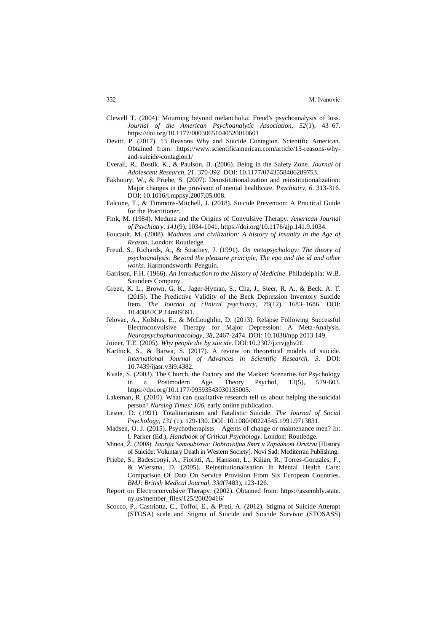- Clewell T. (2004). Mourning beyond melancholia: Freud's psychoanalysis of loss. *Journal of the American Psychoanalytic Association, 52*(1), 43–67. https://doi.org/10.1177/00030651040520010601
- Devitt, P. (2017). 13 Reasons Why and Suicide Contagion. Scientific American. Obtained from: https://www.scientificamerican.com/article/13-reasons-whyand-suicide-contagion1/
- Everall, R., Bostik, K., & Paulson, B. (2006). Being in the Safety Zone. *Journal of Adolescent Research, 21*. 370-392. DOI: 10.1177/0743558406289753.
- Fakhoury, W., & Priebe, S. (2007). Deinstitutionalization and reinstitutionalization: Major changes in the provision of mental healthcare. *Psychiatry, 6*. 313-316. DOI: 10.1016/j.mppsy.2007.05.008.
- Falcone, T., & Timmons-Mitchell, J. (2018). Suicide Prevention: A Practical Guide for the Practitioner.
- Fink, M. (1984). Meduna and the Origins of Convulsive Therapy. *American Journal of Psychiatry, 141*(9). 1034-1041. https://doi.org/10.1176/ajp.141.9.1034.
- Foucault, M. (2008). *Madness and civilization: A history of insanity in the Age of Reason*. London: Routledge.
- Freud, S., Richards, A., & Strachey, J. (1991). *On metapsychology: The theory of psychoanalysis: Beyond the pleasure principle, The ego and the id and other works.* Harmondsworth: Penguin.
- Garrison, F.H. (1966). *An Introduction to the History of Medicine*. Philadelphia: W.B. Saunders Company.
- Green, K. L., Brown, G. K., Jager-Hyman, S., Cha, J., Steer, R. A., & Beck, A. T. (2015). The Predictive Validity of the Beck Depression Inventory Suicide Item. *The Journal of clinical psychiatry, 76*(12), 1683–1686. DOI: 10.4088/JCP.14m09391.
- Jelovac, A., Kolshus, E., & McLoughlin, D. (2013). Relapse Following Successful Electroconvulsive Therapy for Major Depression: A Meta-Analysis. *Neuropsychopharmacology, 38*, 2467-2474. DOI: 10.1038/npp.2013.149.
- Joiner, T.E. (2005). *Why people die by suicide*. DOI:10.2307/j.ctvjghv2f.
- Karthick, S., & Barwa, S. (2017). A review on theoretical models of suicide. *International Journal of Advances in Scientific Research. 3*. DOI: 10.7439/ijasr.v3i9.4382.
- Kvale, S. (2003). The Church, the Factory and the Market: Scenarios for Psychology in a Postmodern Age. Theory Psychol, 13(5), 579-603. https://doi.org/10.1177/09593543030135005.
- Lakeman, R. (2010). What can qualitative research tell us about helping the suicidal person? *Nursing Times; 106*, early online publication.
- Lester, D. (1991). Totalitarianism and Fatalistic Suicide. *The Journal of Social Psychology, 131* (1). 129-130. DOI: 10.1080/00224545.1991.9713831.
- Madsen, O. J. (2015). Psychotherapists Agents of change or maintenance men? In: I. Parker (Ed.), *Handbook of Critical Psychology*. London: Routledge.
- Minoa, Ž. (2008). *Istorija Samoubistva: Dobrovoljna Smrt u Zapadnom Društvu* [History of Suicide: Voluntary Death in Western Society]. Novi Sad: Mediterran Publishing.
- Priebe, S., Badesconyi, A., Fioritti, A., Hansson, L., Kilian, R., Torres-Gonzales, F., & Wiersma, D. (2005). Reinstitutionalisation In Mental Health Care: Comparison Of Data On Service Provision From Six European Countries. *BMJ: British Medical Journal, 330*(7483), 123-126.
- Report on Electroconvulsive Therapy. (2002). Obtained from: https://assembly.state. ny.us/member\_files/125/20020416/
- Scocco, P., Castriotta, C., Toffol, E., & Preti, A. (2012). Stigma of Suicide Attempt (STOSA) scale and Stigma of Suicide and Suicide Survivor (STOSASS)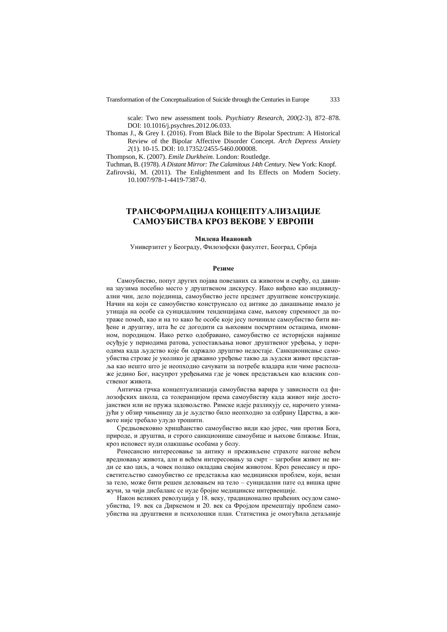Transformation of the Conceptualization of Suicide through the Centuries in Europe 333

scale: Two new assessment tools. *Psychiatry Research, 200*(2-3), 872–878. DOI: 10.1016/j.psychres.2012.06.033.

Thomas J., & Grey I. (2016). From Black Bile to the Bipolar Spectrum: A Historical Review of the Bipolar Affective Disorder Concept. *Arch Depress Anxiety 2*(1). 10-15. DOI: 10.17352/2455-5460.000008.

Thompson, K. (2007). *Emile Durkheim*. London: Routledge.

Tuchman, B. (1978). *A Distant Mirror: The Calamitous 14th Century*. New York: Knopf.

Zafirovski, M. (2011). The Enlightenment and Its Effects on Modern Society. 10.1007/978-1-4419-7387-0.

## **ТРАНСФОРМАЦИЈА КОНЦЕПТУАЛИЗАЦИЈЕ САМОУБИСТВА КРОЗ ВЕКОВЕ У ЕВРОПИ**

#### **Милена Ивановић**

Универзитет у Београду, Филозофски факултет, Београд, Србија

#### **Резиме**

Самоубиство, попут других појава повезаних са животом и смрћу, од давнина заузима посебно место у друштвеном дискурсу. Иако виђено као индивидуални чин, дело појединца, самоубиство јесте предмет друштвене конструкције. Начин на који се самоубиство конструисало од aнтике до данашњице имало је утицаја на особе са суицидалним тенденцијама саме, њихову спремност да потраже помоћ, као и на то како ће особе које јесу починиле самоубиство бити виђене и друштву, шта ће се догодити са њиховим посмртним остацима, имовином, породицом. Иако ретко одобравано, самоубиство се историјски највише осуђује у периодима ратова, успостављања новог друштвеног уређења, у периодима када људство које би одржало друштво недостаје. Санкционисање самоубиства строже је уколико је државно уређење такво да људски живот представља као нешто што је неопходно сачувати за потребе владара или чиме располаже једино Бог, насупрот уређењима где је човек представљен као власник сопственог живота.

Античка грчка концептуализација самоубиства варира у зависности од филозофских школа, са толеранцијом према самоубиству када живот није достојанствен или не пружа задовољство. Римске идеје разликују се, нарочито узимајући у обзир чињеницу да је људство било неопходно за одбрану Царства, а животе није требало улудо трошити.

Средњoвековно хришћанство самоубиство види као јерес, чин против Бога, природе, и друштва, и строго санкционише самоубице и њихове ближње. Ипак, кроз исповест нуди олакшање особама у болу.

Ренесансно интересовање за антику и преживљене страхоте нагоне већем вредновању живота, али и већем интересовању за смрт – загробни живот не види се као циљ, а човек полако овладава својим животом. Кроз ренесансу и просветитељство самоубиство се представља као медицински проблем, који, везан за тело, може бити решен деловањем на тело – суицидални пате од вишка црне жучи, за чији дисбаланс се нуде бројне медицинске интервенције.

Након великих револуција у 18. веку, традиционално праћених осудом самоубиства, 19. век са Диркемом и 20. век са Фројдом премештају проблем самоубиства на друштвени и психолошки план. Статистика је омогућила детаљније